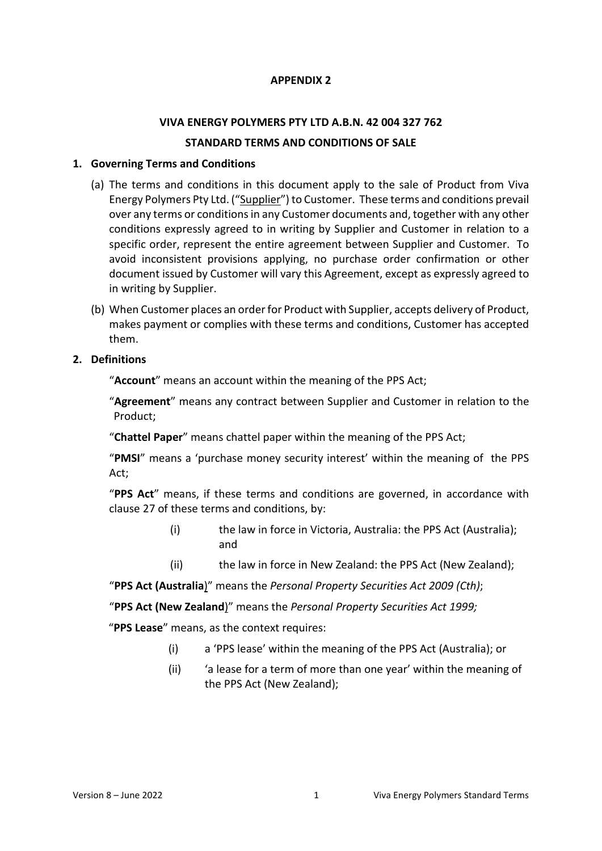## **APPENDIX 2**

# **VIVA ENERGY POLYMERS PTY LTD A.B.N. 42 004 327 762**

### **STANDARD TERMS AND CONDITIONS OF SALE**

### **1. Governing Terms and Conditions**

- (a) The terms and conditions in this document apply to the sale of Product from Viva Energy Polymers Pty Ltd. ("Supplier") to Customer. These terms and conditions prevail over any terms or conditions in any Customer documents and, together with any other conditions expressly agreed to in writing by Supplier and Customer in relation to a specific order, represent the entire agreement between Supplier and Customer. To avoid inconsistent provisions applying, no purchase order confirmation or other document issued by Customer will vary this Agreement, except as expressly agreed to in writing by Supplier.
- (b) When Customer places an order for Product with Supplier, accepts delivery of Product, makes payment or complies with these terms and conditions, Customer has accepted them.
- **2. Definitions**

"**Account**" means an account within the meaning of the PPS Act;

"**Agreement**" means any contract between Supplier and Customer in relation to the Product;

"**Chattel Paper**" means chattel paper within the meaning of the PPS Act;

"**PMSI**" means a 'purchase money security interest' within the meaning of the PPS Act;

"**PPS Act**" means, if these terms and conditions are governed, in accordance with clause 27 of these terms and conditions, by:

- (i) the law in force in Victoria, Australia: the PPS Act (Australia); and
- (ii) the law in force in New Zealand: the PPS Act (New Zealand);

"**PPS Act (Australia**)" means the *Personal Property Securities Act 2009 (Cth)*;

"**PPS Act (New Zealand**)" means the *Personal Property Securities Act 1999;*

"**PPS Lease**" means, as the context requires:

- (i) a 'PPS lease' within the meaning of the PPS Act (Australia); or
- (ii) 'a lease for a term of more than one year' within the meaning of the PPS Act (New Zealand);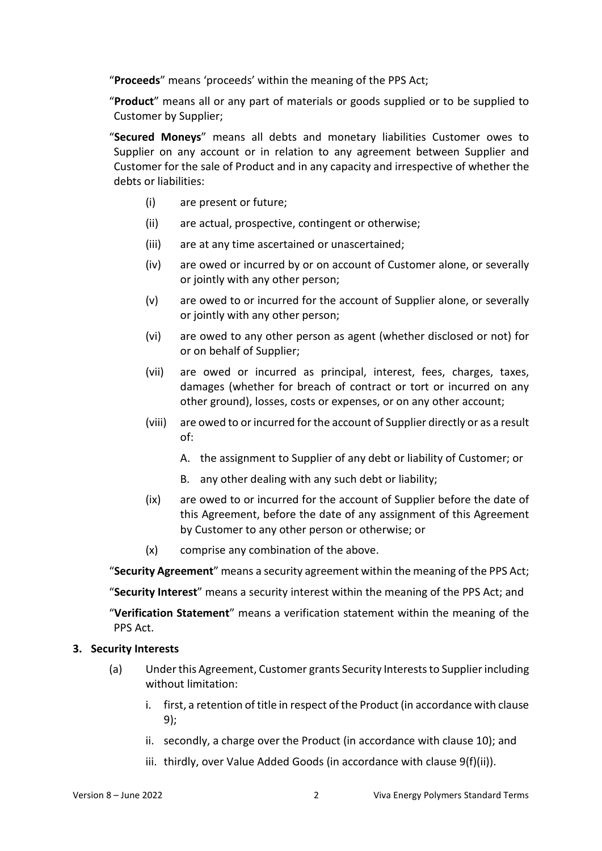"**Proceeds**" means 'proceeds' within the meaning of the PPS Act;

"**Product**" means all or any part of materials or goods supplied or to be supplied to Customer by Supplier;

"**Secured Moneys**" means all debts and monetary liabilities Customer owes to Supplier on any account or in relation to any agreement between Supplier and Customer for the sale of Product and in any capacity and irrespective of whether the debts or liabilities:

- (i) are present or future;
- (ii) are actual, prospective, contingent or otherwise;
- (iii) are at any time ascertained or unascertained;
- (iv) are owed or incurred by or on account of Customer alone, or severally or jointly with any other person;
- (v) are owed to or incurred for the account of Supplier alone, or severally or jointly with any other person;
- (vi) are owed to any other person as agent (whether disclosed or not) for or on behalf of Supplier;
- (vii) are owed or incurred as principal, interest, fees, charges, taxes, damages (whether for breach of contract or tort or incurred on any other ground), losses, costs or expenses, or on any other account;
- (viii) are owed to or incurred for the account of Supplier directly or as a result of:
	- A. the assignment to Supplier of any debt or liability of Customer; or
	- B. any other dealing with any such debt or liability;
- (ix) are owed to or incurred for the account of Supplier before the date of this Agreement, before the date of any assignment of this Agreement by Customer to any other person or otherwise; or
- (x) comprise any combination of the above.

"**Security Agreement**" means a security agreement within the meaning of the PPS Act;

"**Security Interest**" means a security interest within the meaning of the PPS Act; and

"**Verification Statement**" means a verification statement within the meaning of the PPS Act.

#### **3. Security Interests**

- (a) Under this Agreement, Customer grants Security Interests to Supplier including without limitation:
	- i. first, a retention of title in respect of the Product (in accordance with clause 9);
	- ii. secondly, a charge over the Product (in accordance with clause 10); and
	- iii. thirdly, over Value Added Goods (in accordance with clause 9(f)(ii)).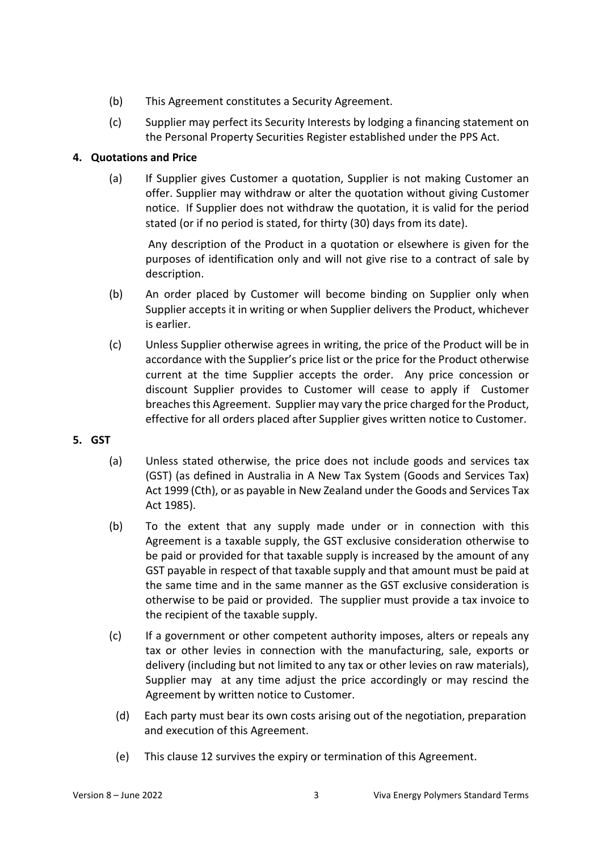- (b) This Agreement constitutes a Security Agreement.
- (c) Supplier may perfect its Security Interests by lodging a financing statement on the Personal Property Securities Register established under the PPS Act.

## **4. Quotations and Price**

(a) If Supplier gives Customer a quotation, Supplier is not making Customer an offer. Supplier may withdraw or alter the quotation without giving Customer notice. If Supplier does not withdraw the quotation, it is valid for the period stated (or if no period is stated, for thirty (30) days from its date).

Any description of the Product in a quotation or elsewhere is given for the purposes of identification only and will not give rise to a contract of sale by description.

- (b) An order placed by Customer will become binding on Supplier only when Supplier accepts it in writing or when Supplier delivers the Product, whichever is earlier.
- (c) Unless Supplier otherwise agrees in writing, the price of the Product will be in accordance with the Supplier's price list or the price for the Product otherwise current at the time Supplier accepts the order. Any price concession or discount Supplier provides to Customer will cease to apply if Customer breaches this Agreement. Supplier may vary the price charged for the Product, effective for all orders placed after Supplier gives written notice to Customer.
- **5. GST**
	- (a) Unless stated otherwise, the price does not include goods and services tax (GST) (as defined in Australia in A New Tax System (Goods and Services Tax) Act 1999 (Cth), or as payable in New Zealand under the Goods and Services Tax Act 1985).
	- (b) To the extent that any supply made under or in connection with this Agreement is a taxable supply, the GST exclusive consideration otherwise to be paid or provided for that taxable supply is increased by the amount of any GST payable in respect of that taxable supply and that amount must be paid at the same time and in the same manner as the GST exclusive consideration is otherwise to be paid or provided. The supplier must provide a tax invoice to the recipient of the taxable supply.
	- (c) If a government or other competent authority imposes, alters or repeals any tax or other levies in connection with the manufacturing, sale, exports or delivery (including but not limited to any tax or other levies on raw materials), Supplier may at any time adjust the price accordingly or may rescind the Agreement by written notice to Customer.
		- (d) Each party must bear its own costs arising out of the negotiation, preparation and execution of this Agreement.
		- (e) This clause 12 survives the expiry or termination of this Agreement.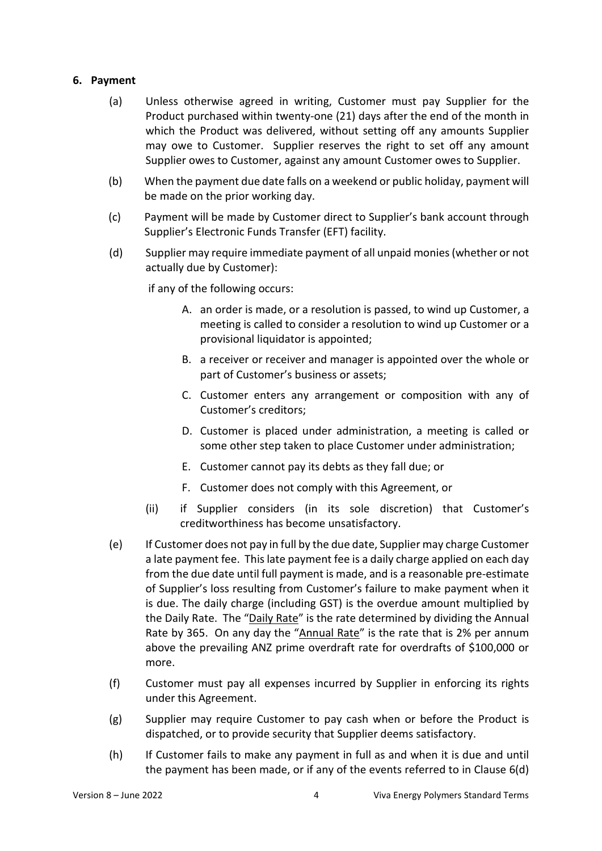### **6. Payment**

- (a) Unless otherwise agreed in writing, Customer must pay Supplier for the Product purchased within twenty-one (21) days after the end of the month in which the Product was delivered, without setting off any amounts Supplier may owe to Customer. Supplier reserves the right to set off any amount Supplier owes to Customer, against any amount Customer owes to Supplier.
- (b) When the payment due date falls on a weekend or public holiday, payment will be made on the prior working day.
- (c) Payment will be made by Customer direct to Supplier's bank account through Supplier's Electronic Funds Transfer (EFT) facility.
- (d) Supplier may require immediate payment of all unpaid monies (whether or not actually due by Customer):

if any of the following occurs:

- A. an order is made, or a resolution is passed, to wind up Customer, a meeting is called to consider a resolution to wind up Customer or a provisional liquidator is appointed;
- B. a receiver or receiver and manager is appointed over the whole or part of Customer's business or assets;
- C. Customer enters any arrangement or composition with any of Customer's creditors;
- D. Customer is placed under administration, a meeting is called or some other step taken to place Customer under administration;
- E. Customer cannot pay its debts as they fall due; or
- F. Customer does not comply with this Agreement, or
- (ii) if Supplier considers (in its sole discretion) that Customer's creditworthiness has become unsatisfactory.
- (e) If Customer does not pay in full by the due date, Supplier may charge Customer a late payment fee. This late payment fee is a daily charge applied on each day from the due date until full payment is made, and is a reasonable pre-estimate of Supplier's loss resulting from Customer's failure to make payment when it is due. The daily charge (including GST) is the overdue amount multiplied by the Daily Rate. The "Daily Rate" is the rate determined by dividing the Annual Rate by 365. On any day the "Annual Rate" is the rate that is 2% per annum above the prevailing ANZ prime overdraft rate for overdrafts of \$100,000 or more.
- (f) Customer must pay all expenses incurred by Supplier in enforcing its rights under this Agreement.
- (g) Supplier may require Customer to pay cash when or before the Product is dispatched, or to provide security that Supplier deems satisfactory.
- (h) If Customer fails to make any payment in full as and when it is due and until the payment has been made, or if any of the events referred to in Clause 6(d)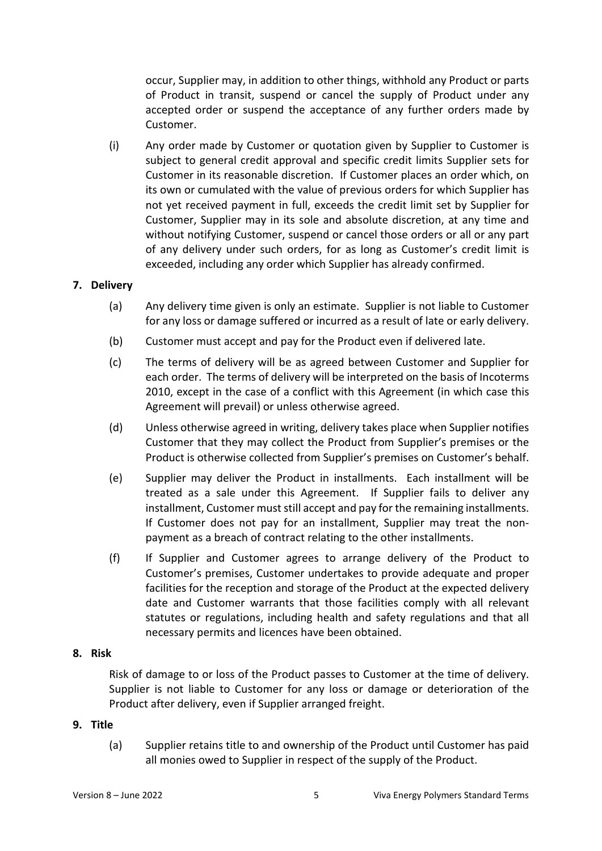occur, Supplier may, in addition to other things, withhold any Product or parts of Product in transit, suspend or cancel the supply of Product under any accepted order or suspend the acceptance of any further orders made by Customer.

(i) Any order made by Customer or quotation given by Supplier to Customer is subject to general credit approval and specific credit limits Supplier sets for Customer in its reasonable discretion. If Customer places an order which, on its own or cumulated with the value of previous orders for which Supplier has not yet received payment in full, exceeds the credit limit set by Supplier for Customer, Supplier may in its sole and absolute discretion, at any time and without notifying Customer, suspend or cancel those orders or all or any part of any delivery under such orders, for as long as Customer's credit limit is exceeded, including any order which Supplier has already confirmed.

### **7. Delivery**

- (a) Any delivery time given is only an estimate. Supplier is not liable to Customer for any loss or damage suffered or incurred as a result of late or early delivery.
- (b) Customer must accept and pay for the Product even if delivered late.
- (c) The terms of delivery will be as agreed between Customer and Supplier for each order. The terms of delivery will be interpreted on the basis of Incoterms 2010, except in the case of a conflict with this Agreement (in which case this Agreement will prevail) or unless otherwise agreed.
- (d) Unless otherwise agreed in writing, delivery takes place when Supplier notifies Customer that they may collect the Product from Supplier's premises or the Product is otherwise collected from Supplier's premises on Customer's behalf.
- (e) Supplier may deliver the Product in installments. Each installment will be treated as a sale under this Agreement. If Supplier fails to deliver any installment, Customer must still accept and pay for the remaining installments. If Customer does not pay for an installment, Supplier may treat the nonpayment as a breach of contract relating to the other installments.
- (f) If Supplier and Customer agrees to arrange delivery of the Product to Customer's premises, Customer undertakes to provide adequate and proper facilities for the reception and storage of the Product at the expected delivery date and Customer warrants that those facilities comply with all relevant statutes or regulations, including health and safety regulations and that all necessary permits and licences have been obtained.

### **8. Risk**

Risk of damage to or loss of the Product passes to Customer at the time of delivery. Supplier is not liable to Customer for any loss or damage or deterioration of the Product after delivery, even if Supplier arranged freight.

## **9. Title**

(a) Supplier retains title to and ownership of the Product until Customer has paid all monies owed to Supplier in respect of the supply of the Product.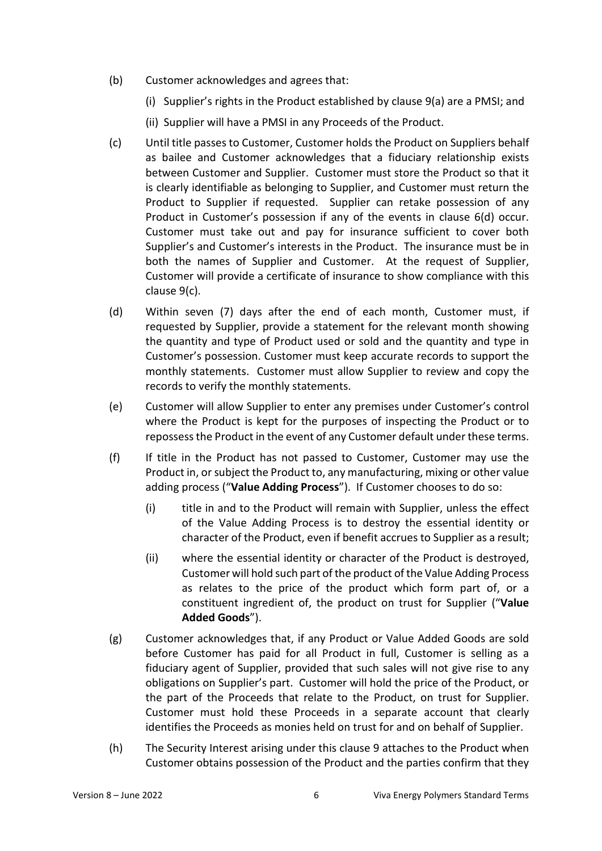- (b) Customer acknowledges and agrees that:
	- (i) Supplier's rights in the Product established by clause 9(a) are a PMSI; and
	- (ii) Supplier will have a PMSI in any Proceeds of the Product.
- (c) Until title passes to Customer, Customer holds the Product on Suppliers behalf as bailee and Customer acknowledges that a fiduciary relationship exists between Customer and Supplier. Customer must store the Product so that it is clearly identifiable as belonging to Supplier, and Customer must return the Product to Supplier if requested. Supplier can retake possession of any Product in Customer's possession if any of the events in clause 6(d) occur. Customer must take out and pay for insurance sufficient to cover both Supplier's and Customer's interests in the Product. The insurance must be in both the names of Supplier and Customer. At the request of Supplier, Customer will provide a certificate of insurance to show compliance with this clause 9(c).
- (d) Within seven (7) days after the end of each month, Customer must, if requested by Supplier, provide a statement for the relevant month showing the quantity and type of Product used or sold and the quantity and type in Customer's possession. Customer must keep accurate records to support the monthly statements. Customer must allow Supplier to review and copy the records to verify the monthly statements.
- (e) Customer will allow Supplier to enter any premises under Customer's control where the Product is kept for the purposes of inspecting the Product or to repossess the Product in the event of any Customer default under these terms.
- (f) If title in the Product has not passed to Customer, Customer may use the Product in, or subject the Product to, any manufacturing, mixing or other value adding process ("**Value Adding Process**"). If Customer chooses to do so:
	- (i) title in and to the Product will remain with Supplier, unless the effect of the Value Adding Process is to destroy the essential identity or character of the Product, even if benefit accrues to Supplier as a result;
	- (ii) where the essential identity or character of the Product is destroyed, Customer will hold such part of the product of the Value Adding Process as relates to the price of the product which form part of, or a constituent ingredient of, the product on trust for Supplier ("**Value Added Goods**").
- (g) Customer acknowledges that, if any Product or Value Added Goods are sold before Customer has paid for all Product in full, Customer is selling as a fiduciary agent of Supplier, provided that such sales will not give rise to any obligations on Supplier's part. Customer will hold the price of the Product, or the part of the Proceeds that relate to the Product, on trust for Supplier. Customer must hold these Proceeds in a separate account that clearly identifies the Proceeds as monies held on trust for and on behalf of Supplier.
- (h) The Security Interest arising under this clause 9 attaches to the Product when Customer obtains possession of the Product and the parties confirm that they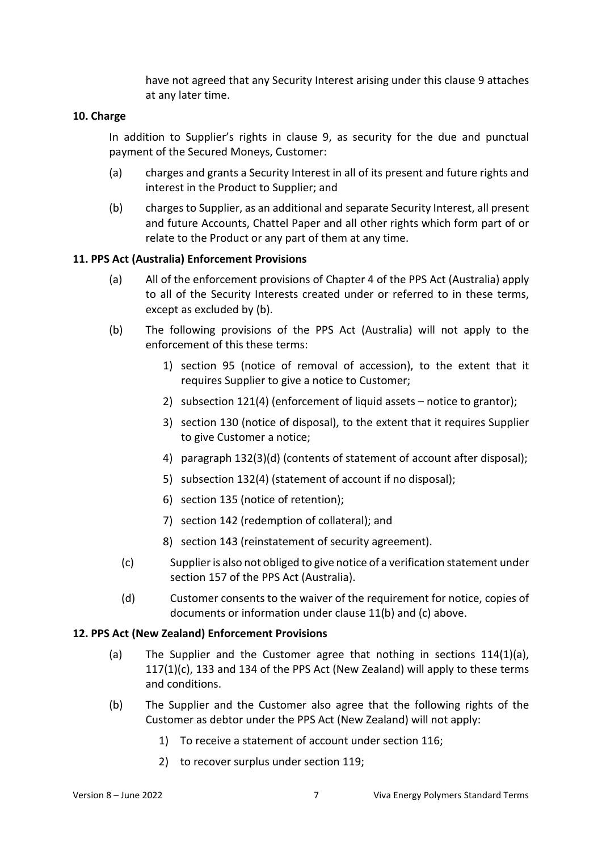have not agreed that any Security Interest arising under this clause 9 attaches at any later time.

### **10. Charge**

In addition to Supplier's rights in clause 9, as security for the due and punctual payment of the Secured Moneys, Customer:

- (a) charges and grants a Security Interest in all of its present and future rights and interest in the Product to Supplier; and
- (b) charges to Supplier, as an additional and separate Security Interest, all present and future Accounts, Chattel Paper and all other rights which form part of or relate to the Product or any part of them at any time.

### **11. PPS Act (Australia) Enforcement Provisions**

- (a) All of the enforcement provisions of Chapter 4 of the PPS Act (Australia) apply to all of the Security Interests created under or referred to in these terms, except as excluded by (b).
- (b) The following provisions of the PPS Act (Australia) will not apply to the enforcement of this these terms:
	- 1) section 95 (notice of removal of accession), to the extent that it requires Supplier to give a notice to Customer;
	- 2) subsection 121(4) (enforcement of liquid assets notice to grantor);
	- 3) section 130 (notice of disposal), to the extent that it requires Supplier to give Customer a notice;
	- 4) paragraph 132(3)(d) (contents of statement of account after disposal);
	- 5) subsection 132(4) (statement of account if no disposal);
	- 6) section 135 (notice of retention);
	- 7) section 142 (redemption of collateral); and
	- 8) section 143 (reinstatement of security agreement).
	- (c) Supplier is also not obliged to give notice of a verification statement under section 157 of the PPS Act (Australia).
	- (d) Customer consents to the waiver of the requirement for notice, copies of documents or information under clause 11(b) and (c) above.

#### **12. PPS Act (New Zealand) Enforcement Provisions**

- (a) The Supplier and the Customer agree that nothing in sections  $114(1)(a)$ ,  $117(1)(c)$ , 133 and 134 of the PPS Act (New Zealand) will apply to these terms and conditions.
- (b) The Supplier and the Customer also agree that the following rights of the Customer as debtor under the PPS Act (New Zealand) will not apply:
	- 1) To receive a statement of account under section 116;
	- 2) to recover surplus under section 119;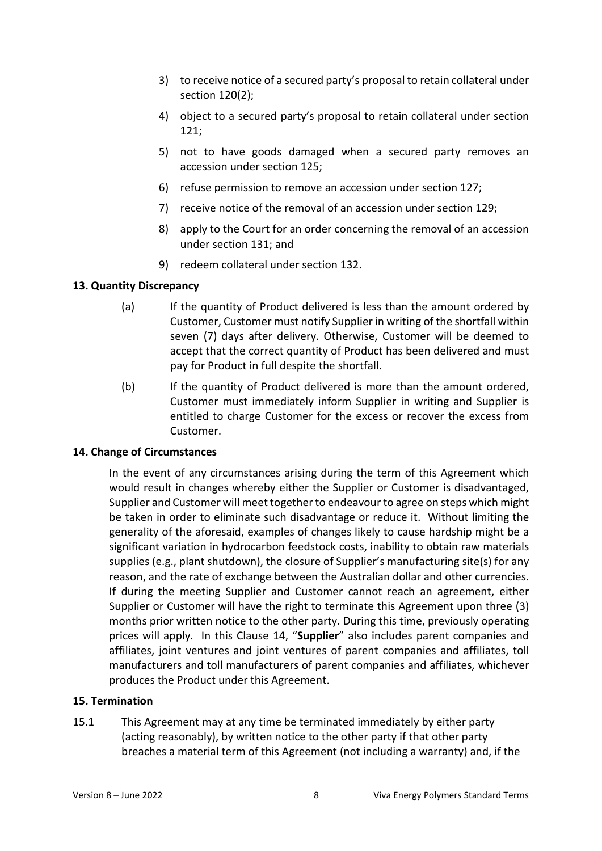- 3) to receive notice of a secured party's proposal to retain collateral under section 120(2);
- 4) object to a secured party's proposal to retain collateral under section 121;
- 5) not to have goods damaged when a secured party removes an accession under section 125;
- 6) refuse permission to remove an accession under section 127;
- 7) receive notice of the removal of an accession under section 129;
- 8) apply to the Court for an order concerning the removal of an accession under section 131; and
- 9) redeem collateral under section 132.

## **13. Quantity Discrepancy**

- (a) If the quantity of Product delivered is less than the amount ordered by Customer, Customer must notify Supplier in writing of the shortfall within seven (7) days after delivery. Otherwise, Customer will be deemed to accept that the correct quantity of Product has been delivered and must pay for Product in full despite the shortfall.
- (b) If the quantity of Product delivered is more than the amount ordered, Customer must immediately inform Supplier in writing and Supplier is entitled to charge Customer for the excess or recover the excess from Customer.

# **14. Change of Circumstances**

In the event of any circumstances arising during the term of this Agreement which would result in changes whereby either the Supplier or Customer is disadvantaged, Supplier and Customer will meet together to endeavour to agree on steps which might be taken in order to eliminate such disadvantage or reduce it. Without limiting the generality of the aforesaid, examples of changes likely to cause hardship might be a significant variation in hydrocarbon feedstock costs, inability to obtain raw materials supplies (e.g., plant shutdown), the closure of Supplier's manufacturing site(s) for any reason, and the rate of exchange between the Australian dollar and other currencies. If during the meeting Supplier and Customer cannot reach an agreement, either Supplier or Customer will have the right to terminate this Agreement upon three (3) months prior written notice to the other party. During this time, previously operating prices will apply. In this Clause 14, "**Supplier**" also includes parent companies and affiliates, joint ventures and joint ventures of parent companies and affiliates, toll manufacturers and toll manufacturers of parent companies and affiliates, whichever produces the Product under this Agreement.

# **15. Termination**

15.1 This Agreement may at any time be terminated immediately by either party (acting reasonably), by written notice to the other party if that other party breaches a material term of this Agreement (not including a warranty) and, if the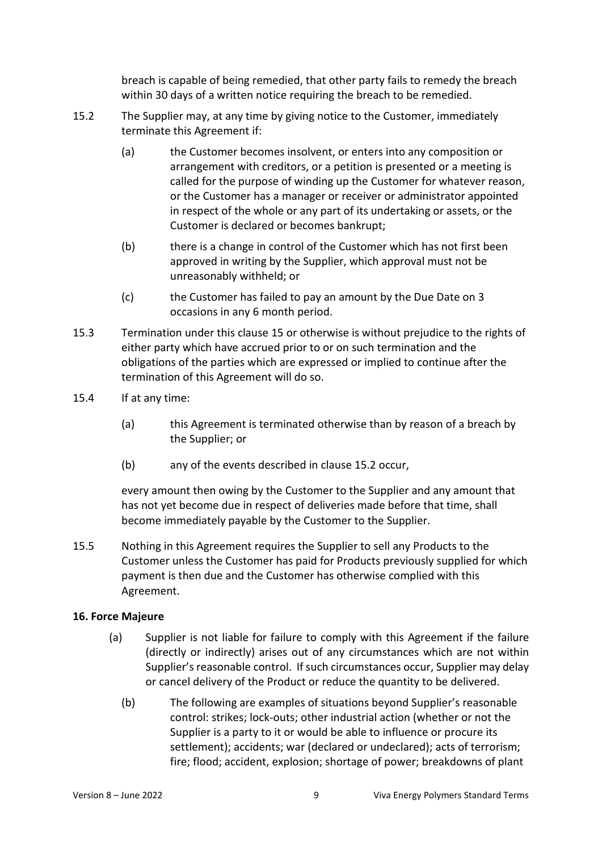breach is capable of being remedied, that other party fails to remedy the breach within 30 days of a written notice requiring the breach to be remedied.

- 15.2 The Supplier may, at any time by giving notice to the Customer, immediately terminate this Agreement if:
	- (a) the Customer becomes insolvent, or enters into any composition or arrangement with creditors, or a petition is presented or a meeting is called for the purpose of winding up the Customer for whatever reason, or the Customer has a manager or receiver or administrator appointed in respect of the whole or any part of its undertaking or assets, or the Customer is declared or becomes bankrupt;
	- (b) there is a change in control of the Customer which has not first been approved in writing by the Supplier, which approval must not be unreasonably withheld; or
	- (c) the Customer has failed to pay an amount by the Due Date on 3 occasions in any 6 month period.
- 15.3 Termination under this clause 15 or otherwise is without prejudice to the rights of either party which have accrued prior to or on such termination and the obligations of the parties which are expressed or implied to continue after the termination of this Agreement will do so.
- 15.4 If at any time:
	- (a) this Agreement is terminated otherwise than by reason of a breach by the Supplier; or
	- (b) any of the events described in clause 15.2 occur,

every amount then owing by the Customer to the Supplier and any amount that has not yet become due in respect of deliveries made before that time, shall become immediately payable by the Customer to the Supplier.

15.5 Nothing in this Agreement requires the Supplier to sell any Products to the Customer unless the Customer has paid for Products previously supplied for which payment is then due and the Customer has otherwise complied with this Agreement.

### **16. Force Majeure**

- (a) Supplier is not liable for failure to comply with this Agreement if the failure (directly or indirectly) arises out of any circumstances which are not within Supplier's reasonable control. If such circumstances occur, Supplier may delay or cancel delivery of the Product or reduce the quantity to be delivered.
	- (b) The following are examples of situations beyond Supplier's reasonable control: strikes; lock-outs; other industrial action (whether or not the Supplier is a party to it or would be able to influence or procure its settlement); accidents; war (declared or undeclared); acts of terrorism; fire; flood; accident, explosion; shortage of power; breakdowns of plant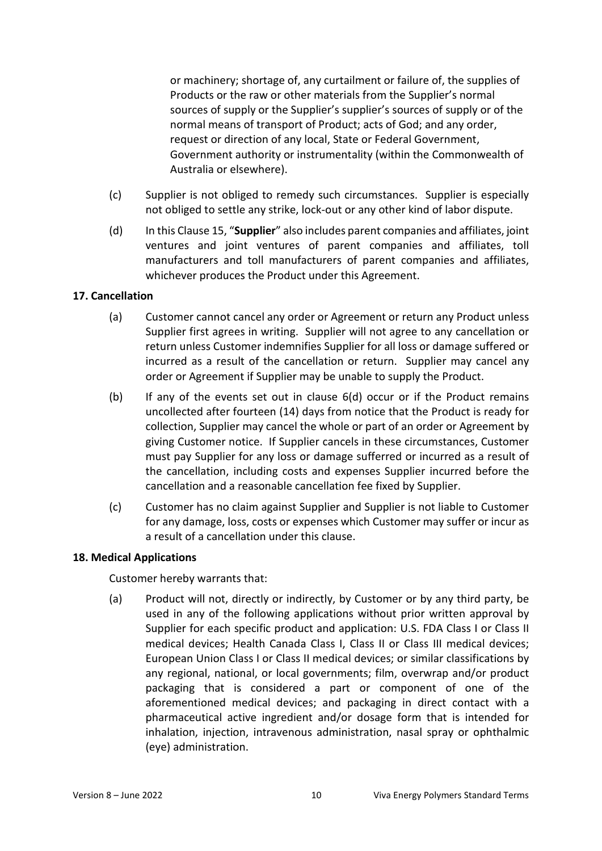or machinery; shortage of, any curtailment or failure of, the supplies of Products or the raw or other materials from the Supplier's normal sources of supply or the Supplier's supplier's sources of supply or of the normal means of transport of Product; acts of God; and any order, request or direction of any local, State or Federal Government, Government authority or instrumentality (within the Commonwealth of Australia or elsewhere).

- (c) Supplier is not obliged to remedy such circumstances. Supplier is especially not obliged to settle any strike, lock-out or any other kind of labor dispute.
- (d) In this Clause 15, "**Supplier**" also includes parent companies and affiliates, joint ventures and joint ventures of parent companies and affiliates, toll manufacturers and toll manufacturers of parent companies and affiliates, whichever produces the Product under this Agreement.

## **17. Cancellation**

- (a) Customer cannot cancel any order or Agreement or return any Product unless Supplier first agrees in writing. Supplier will not agree to any cancellation or return unless Customer indemnifies Supplier for all loss or damage suffered or incurred as a result of the cancellation or return. Supplier may cancel any order or Agreement if Supplier may be unable to supply the Product.
- (b) If any of the events set out in clause 6(d) occur or if the Product remains uncollected after fourteen (14) days from notice that the Product is ready for collection, Supplier may cancel the whole or part of an order or Agreement by giving Customer notice. If Supplier cancels in these circumstances, Customer must pay Supplier for any loss or damage sufferred or incurred as a result of the cancellation, including costs and expenses Supplier incurred before the cancellation and a reasonable cancellation fee fixed by Supplier.
- (c) Customer has no claim against Supplier and Supplier is not liable to Customer for any damage, loss, costs or expenses which Customer may suffer or incur as a result of a cancellation under this clause.

### **18. Medical Applications**

Customer hereby warrants that:

(a) Product will not, directly or indirectly, by Customer or by any third party, be used in any of the following applications without prior written approval by Supplier for each specific product and application: U.S. FDA Class I or Class II medical devices; Health Canada Class I, Class II or Class III medical devices; European Union Class I or Class II medical devices; or similar classifications by any regional, national, or local governments; film, overwrap and/or product packaging that is considered a part or component of one of the aforementioned medical devices; and packaging in direct contact with a pharmaceutical active ingredient and/or dosage form that is intended for inhalation, injection, intravenous administration, nasal spray or ophthalmic (eye) administration.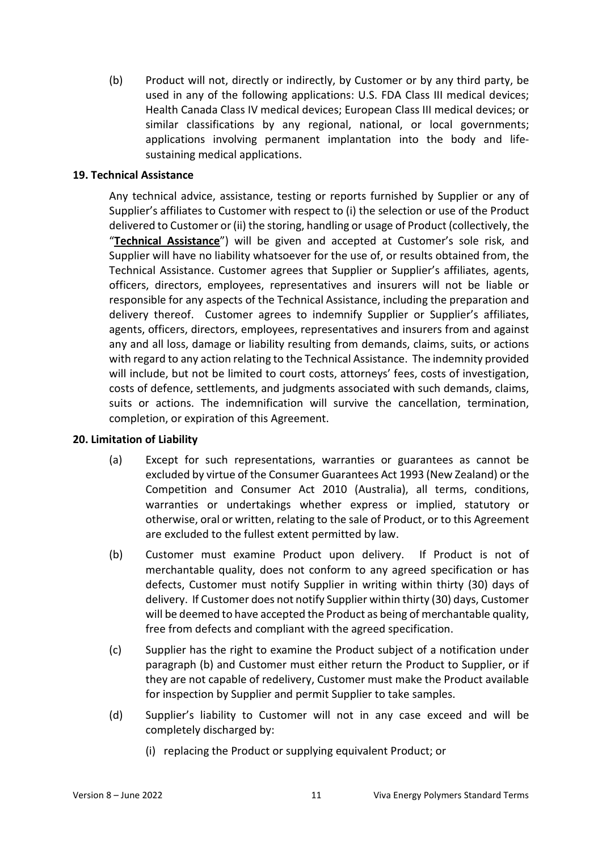(b) Product will not, directly or indirectly, by Customer or by any third party, be used in any of the following applications: U.S. FDA Class III medical devices; Health Canada Class IV medical devices; European Class III medical devices; or similar classifications by any regional, national, or local governments; applications involving permanent implantation into the body and lifesustaining medical applications.

### **19. Technical Assistance**

Any technical advice, assistance, testing or reports furnished by Supplier or any of Supplier's affiliates to Customer with respect to (i) the selection or use of the Product delivered to Customer or (ii) the storing, handling or usage of Product (collectively, the "**Technical Assistance**") will be given and accepted at Customer's sole risk, and Supplier will have no liability whatsoever for the use of, or results obtained from, the Technical Assistance. Customer agrees that Supplier or Supplier's affiliates, agents, officers, directors, employees, representatives and insurers will not be liable or responsible for any aspects of the Technical Assistance, including the preparation and delivery thereof. Customer agrees to indemnify Supplier or Supplier's affiliates, agents, officers, directors, employees, representatives and insurers from and against any and all loss, damage or liability resulting from demands, claims, suits, or actions with regard to any action relating to the Technical Assistance. The indemnity provided will include, but not be limited to court costs, attorneys' fees, costs of investigation, costs of defence, settlements, and judgments associated with such demands, claims, suits or actions. The indemnification will survive the cancellation, termination, completion, or expiration of this Agreement.

### **20. Limitation of Liability**

- (a) Except for such representations, warranties or guarantees as cannot be excluded by virtue of the Consumer Guarantees Act 1993 (New Zealand) or the Competition and Consumer Act 2010 (Australia), all terms, conditions, warranties or undertakings whether express or implied, statutory or otherwise, oral or written, relating to the sale of Product, or to this Agreement are excluded to the fullest extent permitted by law.
- (b) Customer must examine Product upon delivery. If Product is not of merchantable quality, does not conform to any agreed specification or has defects, Customer must notify Supplier in writing within thirty (30) days of delivery. If Customer does not notify Supplier within thirty (30) days, Customer will be deemed to have accepted the Product as being of merchantable quality, free from defects and compliant with the agreed specification.
- (c) Supplier has the right to examine the Product subject of a notification under paragraph (b) and Customer must either return the Product to Supplier, or if they are not capable of redelivery, Customer must make the Product available for inspection by Supplier and permit Supplier to take samples.
- (d) Supplier's liability to Customer will not in any case exceed and will be completely discharged by:
	- (i) replacing the Product or supplying equivalent Product; or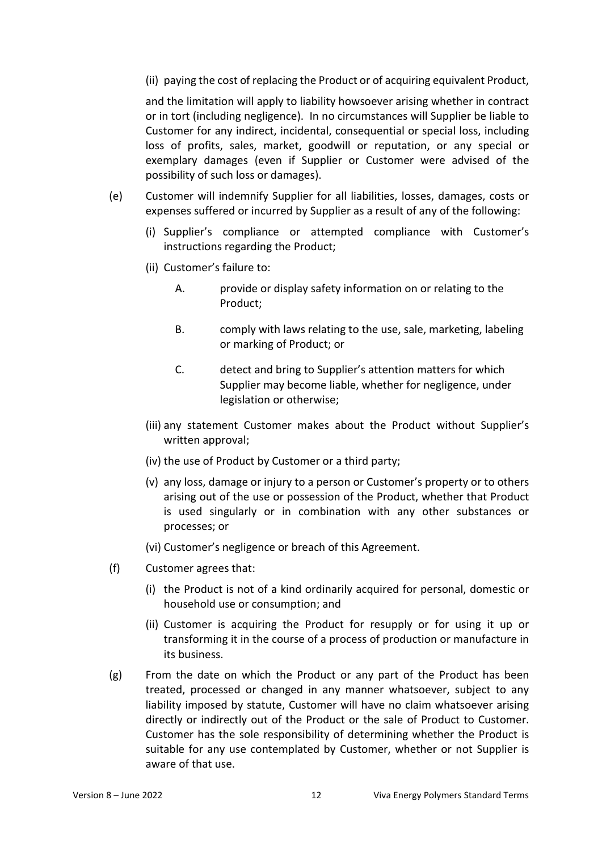(ii) paying the cost of replacing the Product or of acquiring equivalent Product,

and the limitation will apply to liability howsoever arising whether in contract or in tort (including negligence). In no circumstances will Supplier be liable to Customer for any indirect, incidental, consequential or special loss, including loss of profits, sales, market, goodwill or reputation, or any special or exemplary damages (even if Supplier or Customer were advised of the possibility of such loss or damages).

- (e) Customer will indemnify Supplier for all liabilities, losses, damages, costs or expenses suffered or incurred by Supplier as a result of any of the following:
	- (i) Supplier's compliance or attempted compliance with Customer's instructions regarding the Product;
	- (ii) Customer's failure to:
		- A. provide or display safety information on or relating to the Product;
		- B. comply with laws relating to the use, sale, marketing, labeling or marking of Product; or
		- C. detect and bring to Supplier's attention matters for which Supplier may become liable, whether for negligence, under legislation or otherwise;
	- (iii) any statement Customer makes about the Product without Supplier's written approval;
	- (iv) the use of Product by Customer or a third party;
	- (v) any loss, damage or injury to a person or Customer's property or to others arising out of the use or possession of the Product, whether that Product is used singularly or in combination with any other substances or processes; or
	- (vi) Customer's negligence or breach of this Agreement.
- (f) Customer agrees that:
	- (i) the Product is not of a kind ordinarily acquired for personal, domestic or household use or consumption; and
	- (ii) Customer is acquiring the Product for resupply or for using it up or transforming it in the course of a process of production or manufacture in its business.
- (g) From the date on which the Product or any part of the Product has been treated, processed or changed in any manner whatsoever, subject to any liability imposed by statute, Customer will have no claim whatsoever arising directly or indirectly out of the Product or the sale of Product to Customer. Customer has the sole responsibility of determining whether the Product is suitable for any use contemplated by Customer, whether or not Supplier is aware of that use.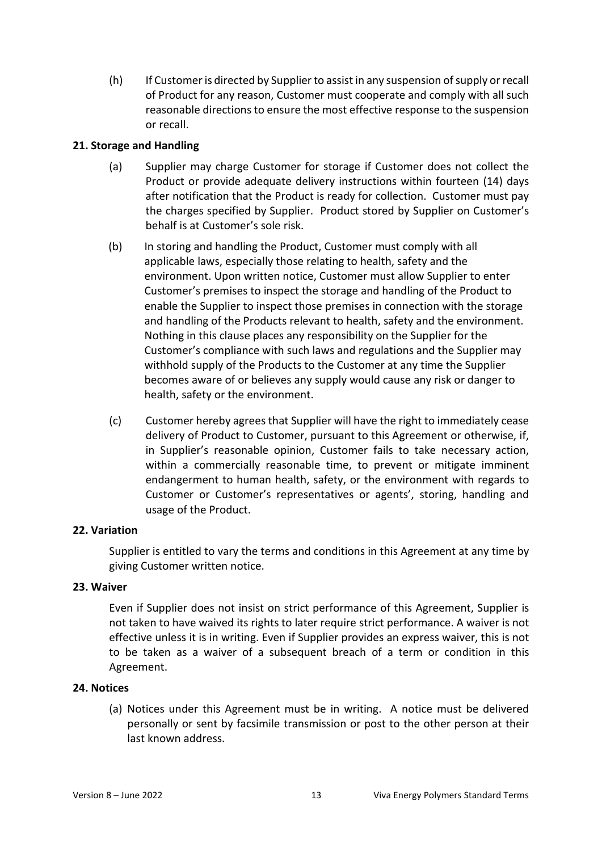(h) If Customer is directed by Supplier to assist in any suspension of supply or recall of Product for any reason, Customer must cooperate and comply with all such reasonable directions to ensure the most effective response to the suspension or recall.

# **21. Storage and Handling**

- (a) Supplier may charge Customer for storage if Customer does not collect the Product or provide adequate delivery instructions within fourteen (14) days after notification that the Product is ready for collection. Customer must pay the charges specified by Supplier. Product stored by Supplier on Customer's behalf is at Customer's sole risk.
- (b) In storing and handling the Product, Customer must comply with all applicable laws, especially those relating to health, safety and the environment. Upon written notice, Customer must allow Supplier to enter Customer's premises to inspect the storage and handling of the Product to enable the Supplier to inspect those premises in connection with the storage and handling of the Products relevant to health, safety and the environment. Nothing in this clause places any responsibility on the Supplier for the Customer's compliance with such laws and regulations and the Supplier may withhold supply of the Products to the Customer at any time the Supplier becomes aware of or believes any supply would cause any risk or danger to health, safety or the environment.
- (c) Customer hereby agrees that Supplier will have the right to immediately cease delivery of Product to Customer, pursuant to this Agreement or otherwise, if, in Supplier's reasonable opinion, Customer fails to take necessary action, within a commercially reasonable time, to prevent or mitigate imminent endangerment to human health, safety, or the environment with regards to Customer or Customer's representatives or agents', storing, handling and usage of the Product.

# **22. Variation**

Supplier is entitled to vary the terms and conditions in this Agreement at any time by giving Customer written notice.

### **23. Waiver**

Even if Supplier does not insist on strict performance of this Agreement, Supplier is not taken to have waived its rights to later require strict performance. A waiver is not effective unless it is in writing. Even if Supplier provides an express waiver, this is not to be taken as a waiver of a subsequent breach of a term or condition in this Agreement.

### **24. Notices**

(a) Notices under this Agreement must be in writing. A notice must be delivered personally or sent by facsimile transmission or post to the other person at their last known address.